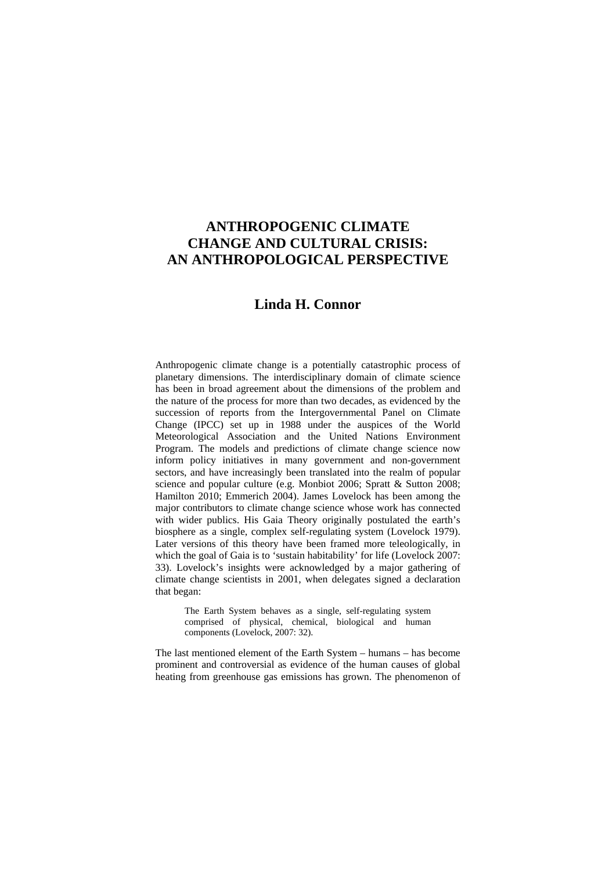# **ANTHROPOGENIC CLIMATE CHANGE AND CULTURAL CRISIS: AN ANTHROPOLOGICAL PERSPECTIVE**

## **Linda H. Connor**

Anthropogenic climate change is a potentially catastrophic process of planetary dimensions. The interdisciplinary domain of climate science has been in broad agreement about the dimensions of the problem and the nature of the process for more than two decades, as evidenced by the succession of reports from the Intergovernmental Panel on Climate Change (IPCC) set up in 1988 under the auspices of the World Meteorological Association and the United Nations Environment Program. The models and predictions of climate change science now inform policy initiatives in many government and non-government sectors, and have increasingly been translated into the realm of popular science and popular culture (e.g. Monbiot 2006; Spratt & Sutton 2008; Hamilton 2010; Emmerich 2004). James Lovelock has been among the major contributors to climate change science whose work has connected with wider publics. His Gaia Theory originally postulated the earth's biosphere as a single, complex self-regulating system (Lovelock 1979). Later versions of this theory have been framed more teleologically, in which the goal of Gaia is to 'sustain habitability' for life (Lovelock 2007: 33). Lovelock's insights were acknowledged by a major gathering of climate change scientists in 2001, when delegates signed a declaration that began:

The Earth System behaves as a single, self-regulating system comprised of physical, chemical, biological and human components (Lovelock, 2007: 32).

The last mentioned element of the Earth System – humans – has become prominent and controversial as evidence of the human causes of global heating from greenhouse gas emissions has grown. The phenomenon of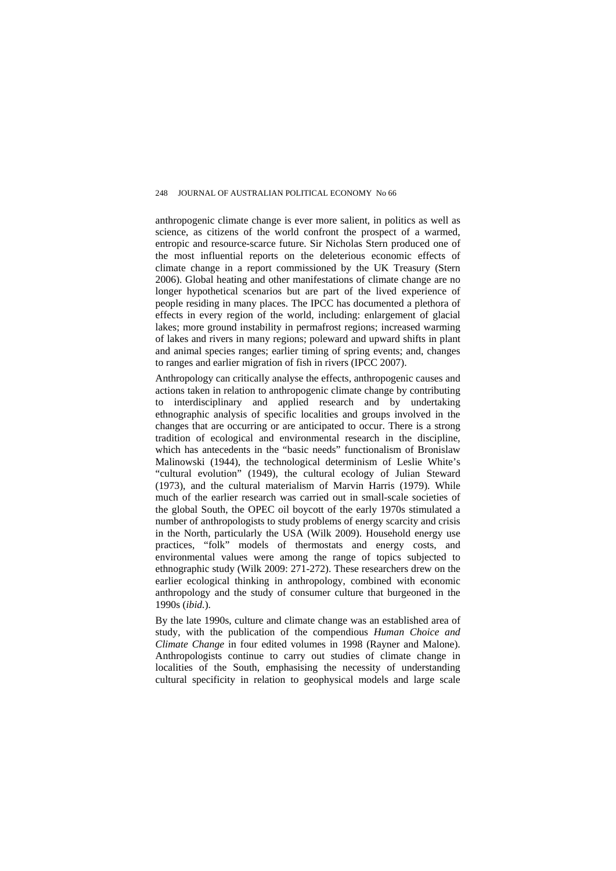anthropogenic climate change is ever more salient, in politics as well as science, as citizens of the world confront the prospect of a warmed, entropic and resource-scarce future. Sir Nicholas Stern produced one of the most influential reports on the deleterious economic effects of climate change in a report commissioned by the UK Treasury (Stern 2006). Global heating and other manifestations of climate change are no longer hypothetical scenarios but are part of the lived experience of people residing in many places. The IPCC has documented a plethora of effects in every region of the world, including: enlargement of glacial lakes; more ground instability in permafrost regions; increased warming of lakes and rivers in many regions; poleward and upward shifts in plant and animal species ranges; earlier timing of spring events; and, changes to ranges and earlier migration of fish in rivers (IPCC 2007).

Anthropology can critically analyse the effects, anthropogenic causes and actions taken in relation to anthropogenic climate change by contributing to interdisciplinary and applied research and by undertaking ethnographic analysis of specific localities and groups involved in the changes that are occurring or are anticipated to occur. There is a strong tradition of ecological and environmental research in the discipline, which has antecedents in the "basic needs" functionalism of Bronislaw Malinowski (1944), the technological determinism of Leslie White's "cultural evolution" (1949), the cultural ecology of Julian Steward (1973), and the cultural materialism of Marvin Harris (1979). While much of the earlier research was carried out in small-scale societies of the global South, the OPEC oil boycott of the early 1970s stimulated a number of anthropologists to study problems of energy scarcity and crisis in the North, particularly the USA (Wilk 2009). Household energy use practices, "folk" models of thermostats and energy costs, and environmental values were among the range of topics subjected to ethnographic study (Wilk 2009: 271-272). These researchers drew on the earlier ecological thinking in anthropology, combined with economic anthropology and the study of consumer culture that burgeoned in the 1990s (*ibid.*).

By the late 1990s, culture and climate change was an established area of study, with the publication of the compendious *Human Choice and Climate Change* in four edited volumes in 1998 (Rayner and Malone). Anthropologists continue to carry out studies of climate change in localities of the South, emphasising the necessity of understanding cultural specificity in relation to geophysical models and large scale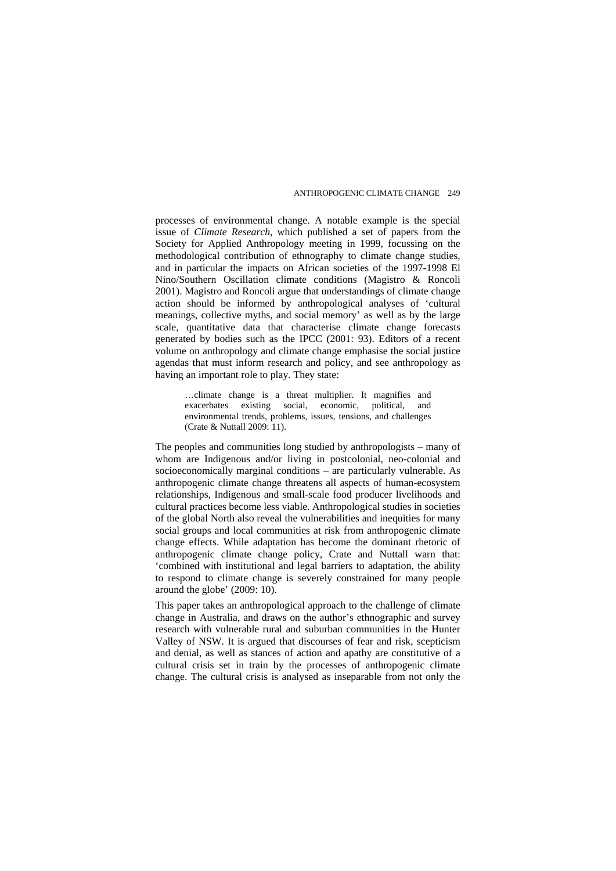processes of environmental change. A notable example is the special issue of *Climate Research*, which published a set of papers from the Society for Applied Anthropology meeting in 1999, focussing on the methodological contribution of ethnography to climate change studies, and in particular the impacts on African societies of the 1997-1998 El Nino/Southern Oscillation climate conditions (Magistro & Roncoli 2001). Magistro and Roncoli argue that understandings of climate change action should be informed by anthropological analyses of 'cultural meanings, collective myths, and social memory' as well as by the large scale, quantitative data that characterise climate change forecasts generated by bodies such as the IPCC (2001: 93). Editors of a recent volume on anthropology and climate change emphasise the social justice agendas that must inform research and policy, and see anthropology as having an important role to play. They state:

…climate change is a threat multiplier. It magnifies and exacerbates existing social, economic, political, and environmental trends, problems, issues, tensions, and challenges (Crate & Nuttall 2009: 11).

The peoples and communities long studied by anthropologists – many of whom are Indigenous and/or living in postcolonial, neo-colonial and socioeconomically marginal conditions – are particularly vulnerable. As anthropogenic climate change threatens all aspects of human-ecosystem relationships, Indigenous and small-scale food producer livelihoods and cultural practices become less viable. Anthropological studies in societies of the global North also reveal the vulnerabilities and inequities for many social groups and local communities at risk from anthropogenic climate change effects. While adaptation has become the dominant rhetoric of anthropogenic climate change policy, Crate and Nuttall warn that: 'combined with institutional and legal barriers to adaptation, the ability to respond to climate change is severely constrained for many people around the globe' (2009: 10).

This paper takes an anthropological approach to the challenge of climate change in Australia, and draws on the author's ethnographic and survey research with vulnerable rural and suburban communities in the Hunter Valley of NSW. It is argued that discourses of fear and risk, scepticism and denial, as well as stances of action and apathy are constitutive of a cultural crisis set in train by the processes of anthropogenic climate change. The cultural crisis is analysed as inseparable from not only the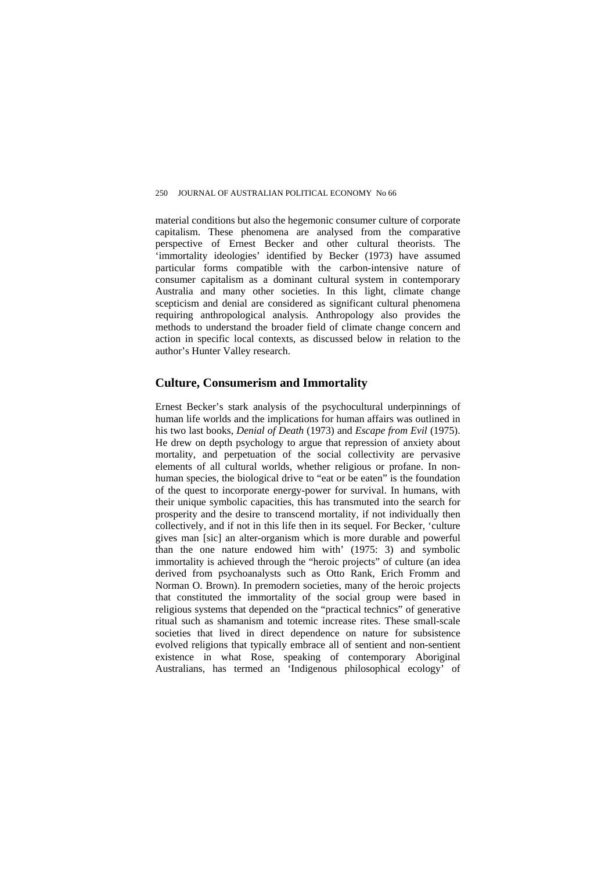material conditions but also the hegemonic consumer culture of corporate capitalism. These phenomena are analysed from the comparative perspective of Ernest Becker and other cultural theorists. The 'immortality ideologies' identified by Becker (1973) have assumed particular forms compatible with the carbon-intensive nature of consumer capitalism as a dominant cultural system in contemporary Australia and many other societies. In this light, climate change scepticism and denial are considered as significant cultural phenomena requiring anthropological analysis. Anthropology also provides the methods to understand the broader field of climate change concern and action in specific local contexts, as discussed below in relation to the author's Hunter Valley research.

### **Culture, Consumerism and Immortality**

Ernest Becker's stark analysis of the psychocultural underpinnings of human life worlds and the implications for human affairs was outlined in his two last books, *Denial of Death* (1973) and *Escape from Evil* (1975). He drew on depth psychology to argue that repression of anxiety about mortality, and perpetuation of the social collectivity are pervasive elements of all cultural worlds, whether religious or profane. In nonhuman species, the biological drive to "eat or be eaten" is the foundation of the quest to incorporate energy-power for survival. In humans, with their unique symbolic capacities, this has transmuted into the search for prosperity and the desire to transcend mortality, if not individually then collectively, and if not in this life then in its sequel. For Becker, 'culture gives man [sic] an alter-organism which is more durable and powerful than the one nature endowed him with' (1975: 3) and symbolic immortality is achieved through the "heroic projects" of culture (an idea derived from psychoanalysts such as Otto Rank, Erich Fromm and Norman O. Brown). In premodern societies, many of the heroic projects that constituted the immortality of the social group were based in religious systems that depended on the "practical technics" of generative ritual such as shamanism and totemic increase rites. These small-scale societies that lived in direct dependence on nature for subsistence evolved religions that typically embrace all of sentient and non-sentient existence in what Rose, speaking of contemporary Aboriginal Australians, has termed an 'Indigenous philosophical ecology' of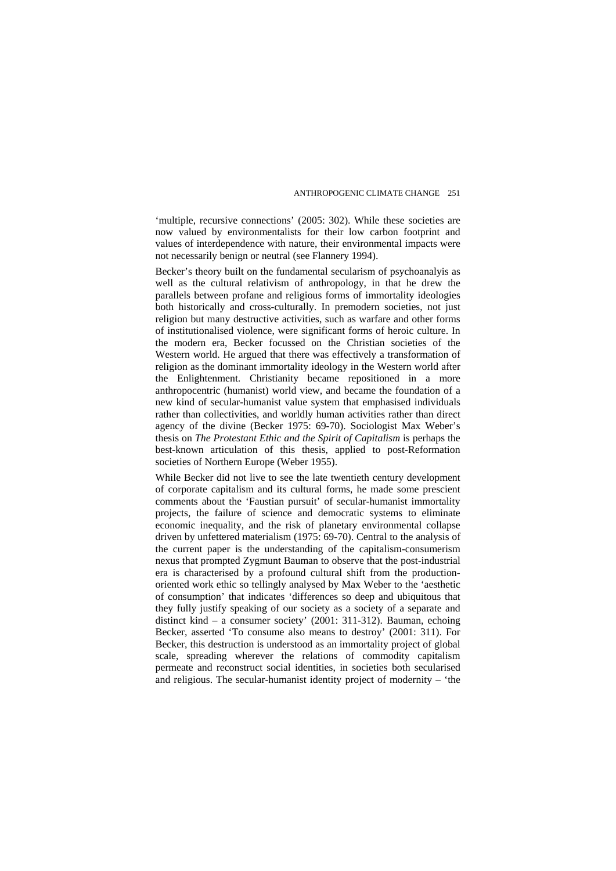'multiple, recursive connections' (2005: 302). While these societies are now valued by environmentalists for their low carbon footprint and values of interdependence with nature, their environmental impacts were not necessarily benign or neutral (see Flannery 1994).

Becker's theory built on the fundamental secularism of psychoanalyis as well as the cultural relativism of anthropology, in that he drew the parallels between profane and religious forms of immortality ideologies both historically and cross-culturally. In premodern societies, not just religion but many destructive activities, such as warfare and other forms of institutionalised violence, were significant forms of heroic culture. In the modern era, Becker focussed on the Christian societies of the Western world. He argued that there was effectively a transformation of religion as the dominant immortality ideology in the Western world after the Enlightenment. Christianity became repositioned in a more anthropocentric (humanist) world view, and became the foundation of a new kind of secular-humanist value system that emphasised individuals rather than collectivities, and worldly human activities rather than direct agency of the divine (Becker 1975: 69-70). Sociologist Max Weber's thesis on *The Protestant Ethic and the Spirit of Capitalism* is perhaps the best-known articulation of this thesis, applied to post-Reformation societies of Northern Europe (Weber 1955).

While Becker did not live to see the late twentieth century development of corporate capitalism and its cultural forms, he made some prescient comments about the 'Faustian pursuit' of secular-humanist immortality projects, the failure of science and democratic systems to eliminate economic inequality, and the risk of planetary environmental collapse driven by unfettered materialism (1975: 69-70). Central to the analysis of the current paper is the understanding of the capitalism-consumerism nexus that prompted Zygmunt Bauman to observe that the post-industrial era is characterised by a profound cultural shift from the productionoriented work ethic so tellingly analysed by Max Weber to the 'aesthetic of consumption' that indicates 'differences so deep and ubiquitous that they fully justify speaking of our society as a society of a separate and distinct kind – a consumer society' (2001: 311-312). Bauman, echoing Becker, asserted 'To consume also means to destroy' (2001: 311). For Becker, this destruction is understood as an immortality project of global scale, spreading wherever the relations of commodity capitalism permeate and reconstruct social identities, in societies both secularised and religious. The secular-humanist identity project of modernity – 'the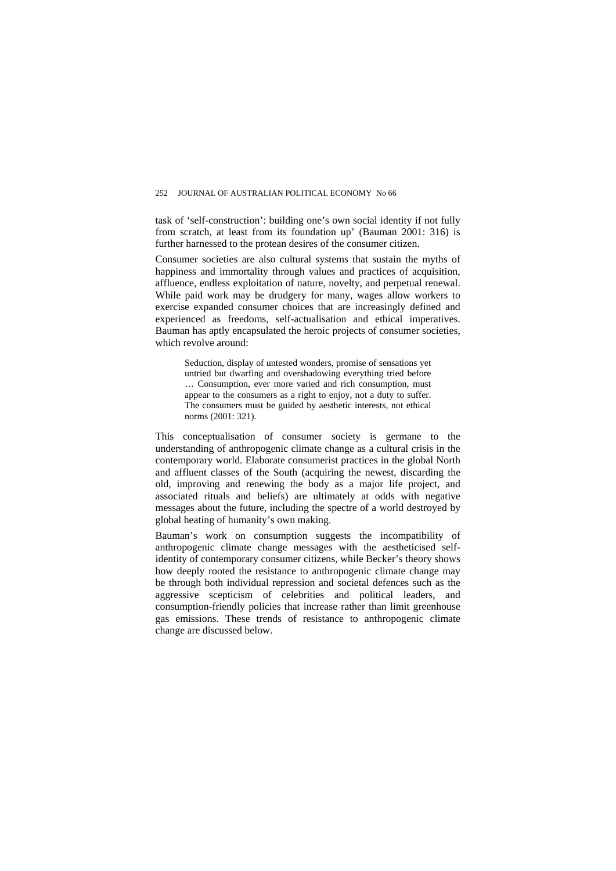task of 'self-construction': building one's own social identity if not fully from scratch, at least from its foundation up' (Bauman 2001: 316) is further harnessed to the protean desires of the consumer citizen.

Consumer societies are also cultural systems that sustain the myths of happiness and immortality through values and practices of acquisition, affluence, endless exploitation of nature, novelty, and perpetual renewal. While paid work may be drudgery for many, wages allow workers to exercise expanded consumer choices that are increasingly defined and experienced as freedoms, self-actualisation and ethical imperatives. Bauman has aptly encapsulated the heroic projects of consumer societies, which revolve around:

Seduction, display of untested wonders, promise of sensations yet untried but dwarfing and overshadowing everything tried before … Consumption, ever more varied and rich consumption, must appear to the consumers as a right to enjoy, not a duty to suffer. The consumers must be guided by aesthetic interests, not ethical norms (2001: 321).

This conceptualisation of consumer society is germane to the understanding of anthropogenic climate change as a cultural crisis in the contemporary world. Elaborate consumerist practices in the global North and affluent classes of the South (acquiring the newest, discarding the old, improving and renewing the body as a major life project, and associated rituals and beliefs) are ultimately at odds with negative messages about the future, including the spectre of a world destroyed by global heating of humanity's own making.

Bauman's work on consumption suggests the incompatibility of anthropogenic climate change messages with the aestheticised selfidentity of contemporary consumer citizens, while Becker's theory shows how deeply rooted the resistance to anthropogenic climate change may be through both individual repression and societal defences such as the aggressive scepticism of celebrities and political leaders, and consumption-friendly policies that increase rather than limit greenhouse gas emissions. These trends of resistance to anthropogenic climate change are discussed below.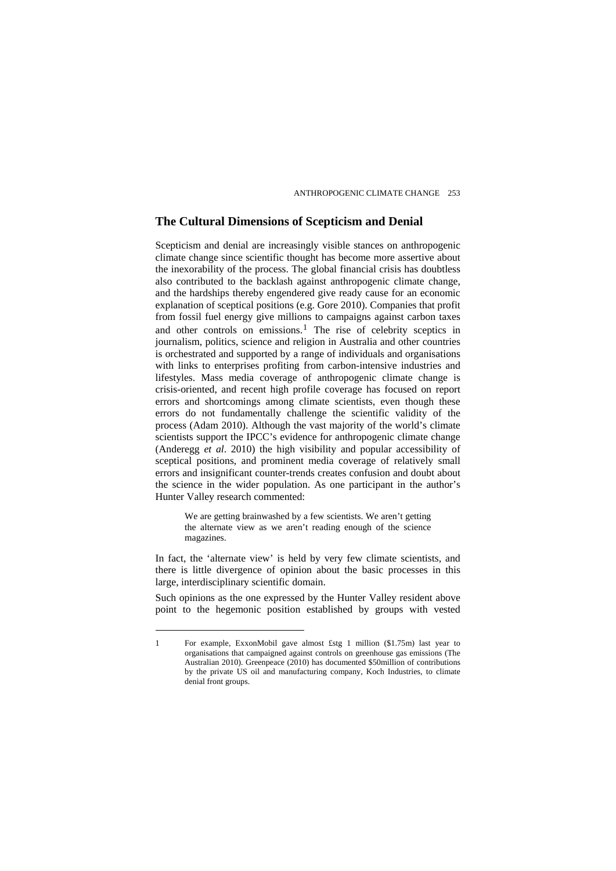### **The Cultural Dimensions of Scepticism and Denial**

Scepticism and denial are increasingly visible stances on anthropogenic climate change since scientific thought has become more assertive about the inexorability of the process. The global financial crisis has doubtless also contributed to the backlash against anthropogenic climate change, and the hardships thereby engendered give ready cause for an economic explanation of sceptical positions (e.g. Gore 2010). Companies that profit from fossil fuel energy give millions to campaigns against carbon taxes and other controls on emissions.<sup>[1](#page-6-0)</sup> The rise of celebrity sceptics in journalism, politics, science and religion in Australia and other countries is orchestrated and supported by a range of individuals and organisations with links to enterprises profiting from carbon-intensive industries and lifestyles. Mass media coverage of anthropogenic climate change is crisis-oriented, and recent high profile coverage has focused on report errors and shortcomings among climate scientists, even though these errors do not fundamentally challenge the scientific validity of the process (Adam 2010). Although the vast majority of the world's climate scientists support the IPCC's evidence for anthropogenic climate change (Anderegg *et al*. 2010) the high visibility and popular accessibility of sceptical positions, and prominent media coverage of relatively small errors and insignificant counter-trends creates confusion and doubt about the science in the wider population. As one participant in the author's Hunter Valley research commented:

We are getting brainwashed by a few scientists. We aren't getting the alternate view as we aren't reading enough of the science magazines.

In fact, the 'alternate view' is held by very few climate scientists, and there is little divergence of opinion about the basic processes in this large, interdisciplinary scientific domain.

Such opinions as the one expressed by the Hunter Valley resident above point to the hegemonic position established by groups with vested

<span id="page-6-0"></span><sup>1</sup> For example, ExxonMobil gave almost £stg 1 million (\$1.75m) last year to organisations that campaigned against controls on greenhouse gas emissions (The Australian 2010). Greenpeace (2010) has documented \$50million of contributions by the private US oil and manufacturing company, Koch Industries, to climate denial front groups.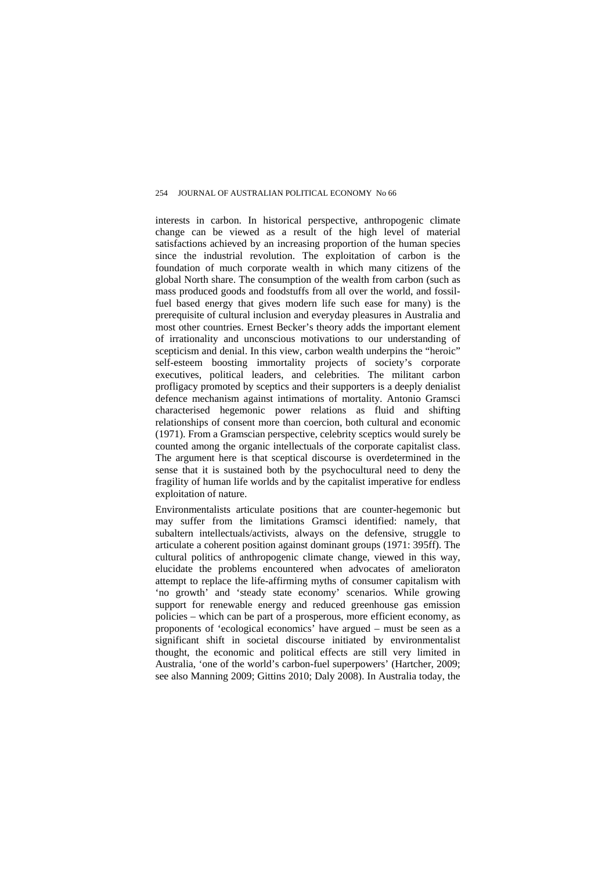interests in carbon. In historical perspective, anthropogenic climate change can be viewed as a result of the high level of material satisfactions achieved by an increasing proportion of the human species since the industrial revolution. The exploitation of carbon is the foundation of much corporate wealth in which many citizens of the global North share. The consumption of the wealth from carbon (such as mass produced goods and foodstuffs from all over the world, and fossilfuel based energy that gives modern life such ease for many) is the prerequisite of cultural inclusion and everyday pleasures in Australia and most other countries. Ernest Becker's theory adds the important element of irrationality and unconscious motivations to our understanding of scepticism and denial. In this view, carbon wealth underpins the "heroic" self-esteem boosting immortality projects of society's corporate executives, political leaders, and celebrities. The militant carbon profligacy promoted by sceptics and their supporters is a deeply denialist defence mechanism against intimations of mortality. Antonio Gramsci characterised hegemonic power relations as fluid and shifting relationships of consent more than coercion, both cultural and economic (1971). From a Gramscian perspective, celebrity sceptics would surely be counted among the organic intellectuals of the corporate capitalist class. The argument here is that sceptical discourse is overdetermined in the sense that it is sustained both by the psychocultural need to deny the fragility of human life worlds and by the capitalist imperative for endless exploitation of nature.

Environmentalists articulate positions that are counter-hegemonic but may suffer from the limitations Gramsci identified: namely, that subaltern intellectuals/activists, always on the defensive, struggle to articulate a coherent position against dominant groups (1971: 395ff). The cultural politics of anthropogenic climate change, viewed in this way, elucidate the problems encountered when advocates of amelioraton attempt to replace the life-affirming myths of consumer capitalism with 'no growth' and 'steady state economy' scenarios. While growing support for renewable energy and reduced greenhouse gas emission policies – which can be part of a prosperous, more efficient economy, as proponents of 'ecological economics' have argued – must be seen as a significant shift in societal discourse initiated by environmentalist thought, the economic and political effects are still very limited in Australia, 'one of the world's carbon-fuel superpowers' (Hartcher, 2009; see also Manning 2009; Gittins 2010; Daly 2008). In Australia today, the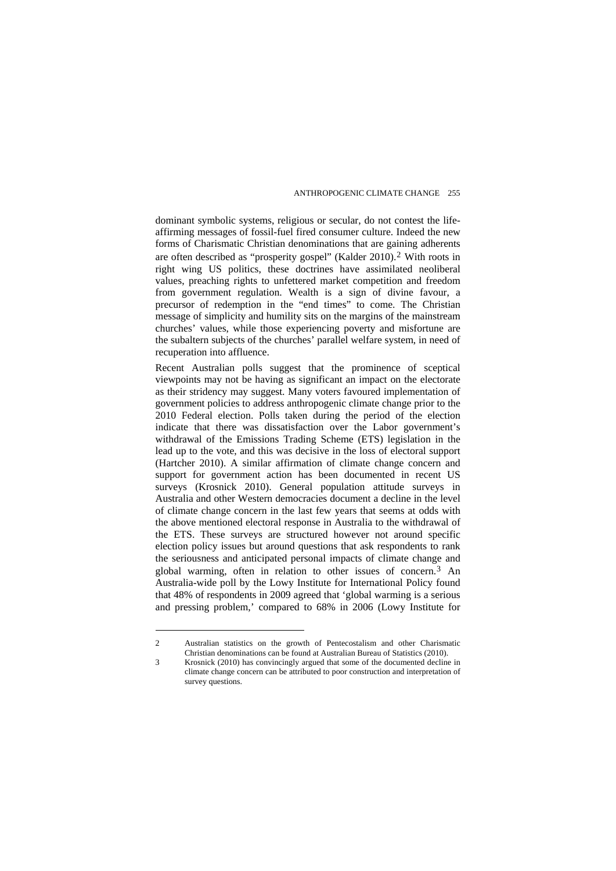dominant symbolic systems, religious or secular, do not contest the lifeaffirming messages of fossil-fuel fired consumer culture. Indeed the new forms of Charismatic Christian denominations that are gaining adherents are often described as "prosperity gospel" (Kalder 2010).[2](#page-8-0) With roots in right wing US politics, these doctrines have assimilated neoliberal values, preaching rights to unfettered market competition and freedom from government regulation. Wealth is a sign of divine favour, a precursor of redemption in the "end times" to come. The Christian message of simplicity and humility sits on the margins of the mainstream churches' values, while those experiencing poverty and misfortune are the subaltern subjects of the churches' parallel welfare system, in need of recuperation into affluence.

Recent Australian polls suggest that the prominence of sceptical viewpoints may not be having as significant an impact on the electorate as their stridency may suggest. Many voters favoured implementation of government policies to address anthropogenic climate change prior to the 2010 Federal election. Polls taken during the period of the election indicate that there was dissatisfaction over the Labor government's withdrawal of the Emissions Trading Scheme (ETS) legislation in the lead up to the vote, and this was decisive in the loss of electoral support (Hartcher 2010). A similar affirmation of climate change concern and support for government action has been documented in recent US surveys (Krosnick 2010). General population attitude surveys in Australia and other Western democracies document a decline in the level of climate change concern in the last few years that seems at odds with the above mentioned electoral response in Australia to the withdrawal of the ETS. These surveys are structured however not around specific election policy issues but around questions that ask respondents to rank the seriousness and anticipated personal impacts of climate change and global warming, often in relation to other issues of concern.[3](#page-8-1) An Australia-wide poll by the Lowy Institute for International Policy found that 48% of respondents in 2009 agreed that 'global warming is a serious and pressing problem,' compared to 68% in 2006 (Lowy Institute for

<span id="page-8-0"></span><sup>2</sup> Australian statistics on the growth of Pentecostalism and other Charismatic Christian denominations can be found at Australian Bureau of Statistics (2010).

<span id="page-8-1"></span><sup>3</sup> Krosnick (2010) has convincingly argued that some of the documented decline in climate change concern can be attributed to poor construction and interpretation of survey questions.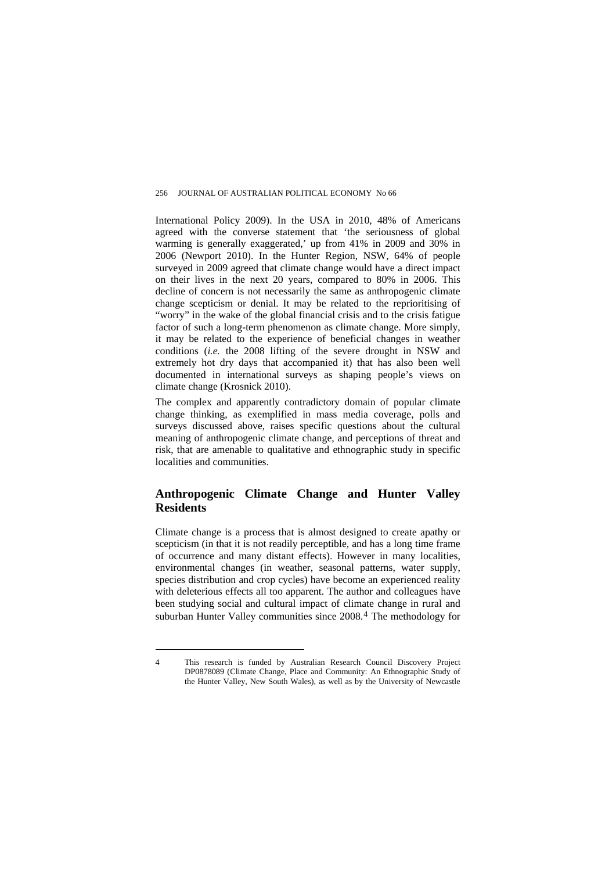International Policy 2009). In the USA in 2010, 48% of Americans agreed with the converse statement that 'the seriousness of global warming is generally exaggerated,' up from 41% in 2009 and 30% in 2006 (Newport 2010). In the Hunter Region, NSW, 64% of people surveyed in 2009 agreed that climate change would have a direct impact on their lives in the next 20 years, compared to 80% in 2006. This decline of concern is not necessarily the same as anthropogenic climate change scepticism or denial. It may be related to the reprioritising of "worry" in the wake of the global financial crisis and to the crisis fatigue factor of such a long-term phenomenon as climate change. More simply, it may be related to the experience of beneficial changes in weather conditions (*i.e.* the 2008 lifting of the severe drought in NSW and extremely hot dry days that accompanied it) that has also been well documented in international surveys as shaping people's views on climate change (Krosnick 2010).

The complex and apparently contradictory domain of popular climate change thinking, as exemplified in mass media coverage, polls and surveys discussed above, raises specific questions about the cultural meaning of anthropogenic climate change, and perceptions of threat and risk, that are amenable to qualitative and ethnographic study in specific localities and communities.

## **Anthropogenic Climate Change and Hunter Valley Residents**

Climate change is a process that is almost designed to create apathy or scepticism (in that it is not readily perceptible, and has a long time frame of occurrence and many distant effects). However in many localities, environmental changes (in weather, seasonal patterns, water supply, species distribution and crop cycles) have become an experienced reality with deleterious effects all too apparent. The author and colleagues have been studying social and cultural impact of climate change in rural and suburban Hunter Valley communities since 2008.[4](#page-9-0) The methodology for

<span id="page-9-0"></span><sup>4</sup> This research is funded by Australian Research Council Discovery Project DP0878089 (Climate Change, Place and Community: An Ethnographic Study of the Hunter Valley, New South Wales), as well as by the University of Newcastle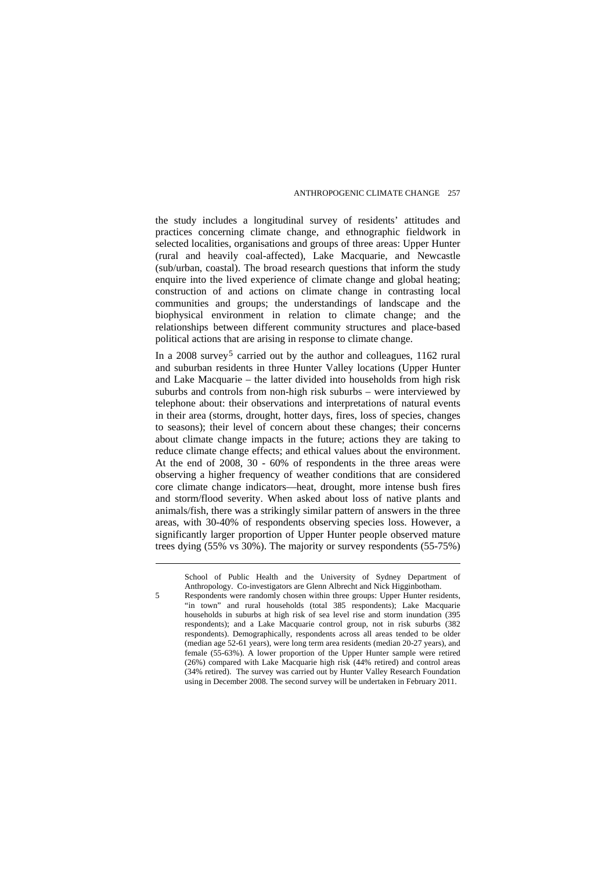the study includes a longitudinal survey of residents' attitudes and practices concerning climate change, and ethnographic fieldwork in selected localities, organisations and groups of three areas: Upper Hunter (rural and heavily coal-affected), Lake Macquarie, and Newcastle (sub/urban, coastal). The broad research questions that inform the study enquire into the lived experience of climate change and global heating; construction of and actions on climate change in contrasting local communities and groups; the understandings of landscape and the biophysical environment in relation to climate change; and the relationships between different community structures and place-based political actions that are arising in response to climate change.

In a 2008 survey<sup>[5](#page-10-0)</sup> carried out by the author and colleagues,  $1162$  rural and suburban residents in three Hunter Valley locations (Upper Hunter and Lake Macquarie – the latter divided into households from high risk suburbs and controls from non-high risk suburbs – were interviewed by telephone about: their observations and interpretations of natural events in their area (storms, drought, hotter days, fires, loss of species, changes to seasons); their level of concern about these changes; their concerns about climate change impacts in the future; actions they are taking to reduce climate change effects; and ethical values about the environment. At the end of 2008, 30 - 60% of respondents in the three areas were observing a higher frequency of weather conditions that are considered core climate change indicators—heat, drought, more intense bush fires and storm/flood severity. When asked about loss of native plants and animals/fish, there was a strikingly similar pattern of answers in the three areas, with 30-40% of respondents observing species loss. However, a significantly larger proportion of Upper Hunter people observed mature trees dying (55% vs 30%). The majority or survey respondents (55-75%)

School of Public Health and the University of Sydney Department of Anthropology. Co-investigators are Glenn Albrecht and Nick Higginbotham.

<span id="page-10-0"></span><sup>5</sup> Respondents were randomly chosen within three groups: Upper Hunter residents, "in town" and rural households (total 385 respondents); Lake Macquarie households in suburbs at high risk of sea level rise and storm inundation (395 respondents); and a Lake Macquarie control group, not in risk suburbs (382 respondents). Demographically, respondents across all areas tended to be older (median age 52-61 years), were long term area residents (median 20-27 years), and female (55-63%). A lower proportion of the Upper Hunter sample were retired (26%) compared with Lake Macquarie high risk (44% retired) and control areas (34% retired). The survey was carried out by Hunter Valley Research Foundation using in December 2008. The second survey will be undertaken in February 2011.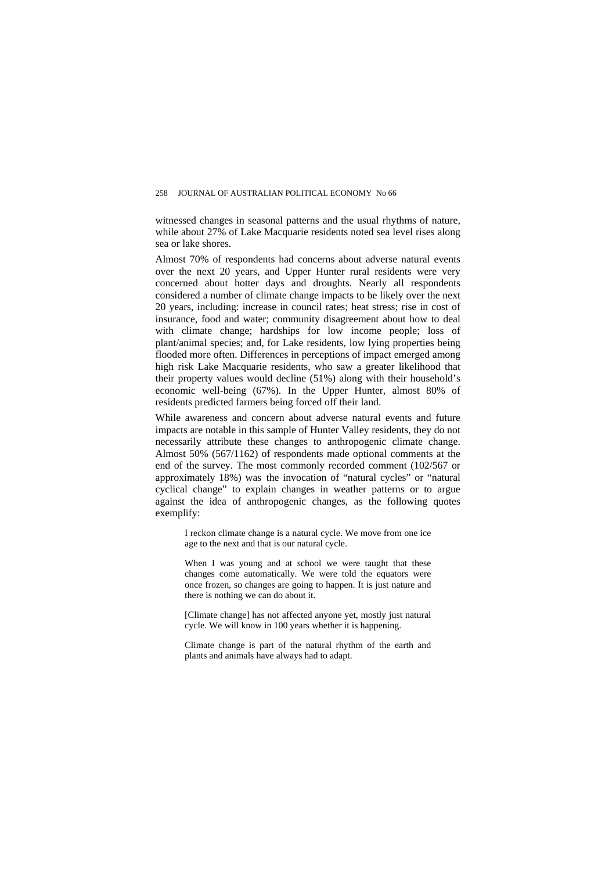#### 258 JOURNAL OF AUSTRALIAN POLITICAL ECONOMY No 66

witnessed changes in seasonal patterns and the usual rhythms of nature, while about 27% of Lake Macquarie residents noted sea level rises along sea or lake shores.

Almost 70% of respondents had concerns about adverse natural events over the next 20 years, and Upper Hunter rural residents were very concerned about hotter days and droughts. Nearly all respondents considered a number of climate change impacts to be likely over the next 20 years, including: increase in council rates; heat stress; rise in cost of insurance, food and water; community disagreement about how to deal with climate change; hardships for low income people; loss of plant/animal species; and, for Lake residents, low lying properties being flooded more often. Differences in perceptions of impact emerged among high risk Lake Macquarie residents, who saw a greater likelihood that their property values would decline (51%) along with their household's economic well-being (67%). In the Upper Hunter, almost 80% of residents predicted farmers being forced off their land.

While awareness and concern about adverse natural events and future impacts are notable in this sample of Hunter Valley residents, they do not necessarily attribute these changes to anthropogenic climate change. Almost 50% (567/1162) of respondents made optional comments at the end of the survey. The most commonly recorded comment (102/567 or approximately 18%) was the invocation of "natural cycles" or "natural cyclical change" to explain changes in weather patterns or to argue against the idea of anthropogenic changes, as the following quotes exemplify:

I reckon climate change is a natural cycle. We move from one ice age to the next and that is our natural cycle.

When I was young and at school we were taught that these changes come automatically. We were told the equators were once frozen, so changes are going to happen. It is just nature and there is nothing we can do about it.

[Climate change] has not affected anyone yet, mostly just natural cycle. We will know in 100 years whether it is happening.

Climate change is part of the natural rhythm of the earth and plants and animals have always had to adapt.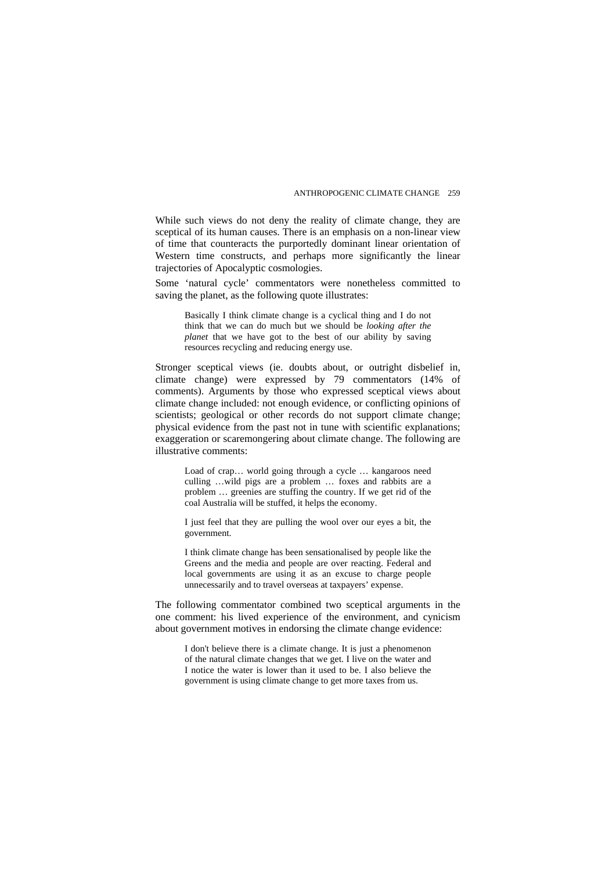While such views do not deny the reality of climate change, they are sceptical of its human causes. There is an emphasis on a non-linear view of time that counteracts the purportedly dominant linear orientation of Western time constructs, and perhaps more significantly the linear trajectories of Apocalyptic cosmologies.

Some 'natural cycle' commentators were nonetheless committed to saving the planet, as the following quote illustrates:

Basically I think climate change is a cyclical thing and I do not think that we can do much but we should be *looking after the planet* that we have got to the best of our ability by saving resources recycling and reducing energy use.

Stronger sceptical views (ie. doubts about, or outright disbelief in, climate change) were expressed by 79 commentators (14% of comments). Arguments by those who expressed sceptical views about climate change included: not enough evidence, or conflicting opinions of scientists; geological or other records do not support climate change; physical evidence from the past not in tune with scientific explanations; exaggeration or scaremongering about climate change. The following are illustrative comments:

Load of crap… world going through a cycle … kangaroos need culling …wild pigs are a problem … foxes and rabbits are a problem … greenies are stuffing the country. If we get rid of the coal Australia will be stuffed, it helps the economy.

I just feel that they are pulling the wool over our eyes a bit, the government.

I think climate change has been sensationalised by people like the Greens and the media and people are over reacting. Federal and local governments are using it as an excuse to charge people unnecessarily and to travel overseas at taxpayers' expense.

The following commentator combined two sceptical arguments in the one comment: his lived experience of the environment, and cynicism about government motives in endorsing the climate change evidence:

I don't believe there is a climate change. It is just a phenomenon of the natural climate changes that we get. I live on the water and I notice the water is lower than it used to be. I also believe the government is using climate change to get more taxes from us.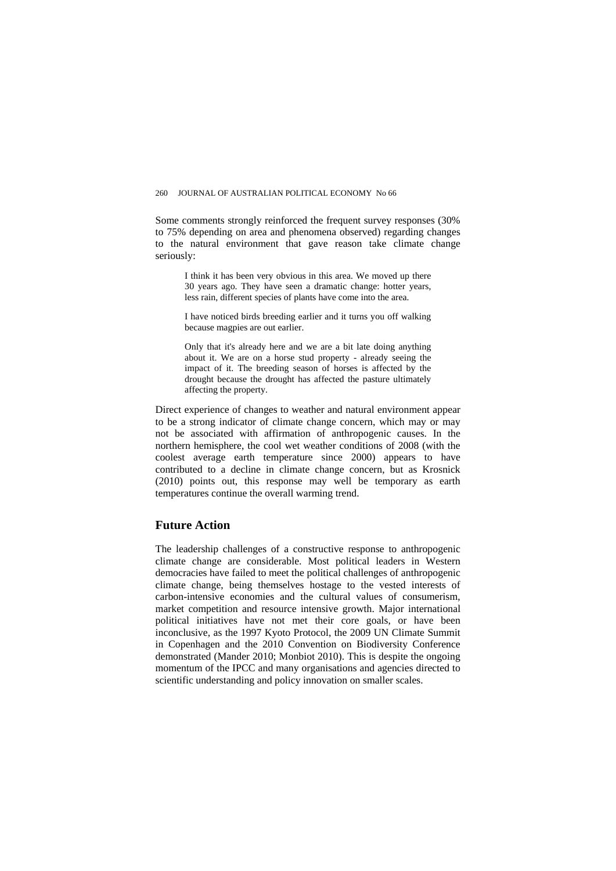Some comments strongly reinforced the frequent survey responses (30% to 75% depending on area and phenomena observed) regarding changes to the natural environment that gave reason take climate change seriously:

I think it has been very obvious in this area. We moved up there 30 years ago. They have seen a dramatic change: hotter years, less rain, different species of plants have come into the area.

I have noticed birds breeding earlier and it turns you off walking because magpies are out earlier.

Only that it's already here and we are a bit late doing anything about it. We are on a horse stud property - already seeing the impact of it. The breeding season of horses is affected by the drought because the drought has affected the pasture ultimately affecting the property.

Direct experience of changes to weather and natural environment appear to be a strong indicator of climate change concern, which may or may not be associated with affirmation of anthropogenic causes. In the northern hemisphere, the cool wet weather conditions of 2008 (with the coolest average earth temperature since 2000) appears to have contributed to a decline in climate change concern, but as Krosnick (2010) points out, this response may well be temporary as earth temperatures continue the overall warming trend.

## **Future Action**

The leadership challenges of a constructive response to anthropogenic climate change are considerable. Most political leaders in Western democracies have failed to meet the political challenges of anthropogenic climate change, being themselves hostage to the vested interests of carbon-intensive economies and the cultural values of consumerism, market competition and resource intensive growth. Major international political initiatives have not met their core goals, or have been inconclusive, as the 1997 Kyoto Protocol, the 2009 UN Climate Summit in Copenhagen and the 2010 Convention on Biodiversity Conference demonstrated (Mander 2010; Monbiot 2010). This is despite the ongoing momentum of the IPCC and many organisations and agencies directed to scientific understanding and policy innovation on smaller scales.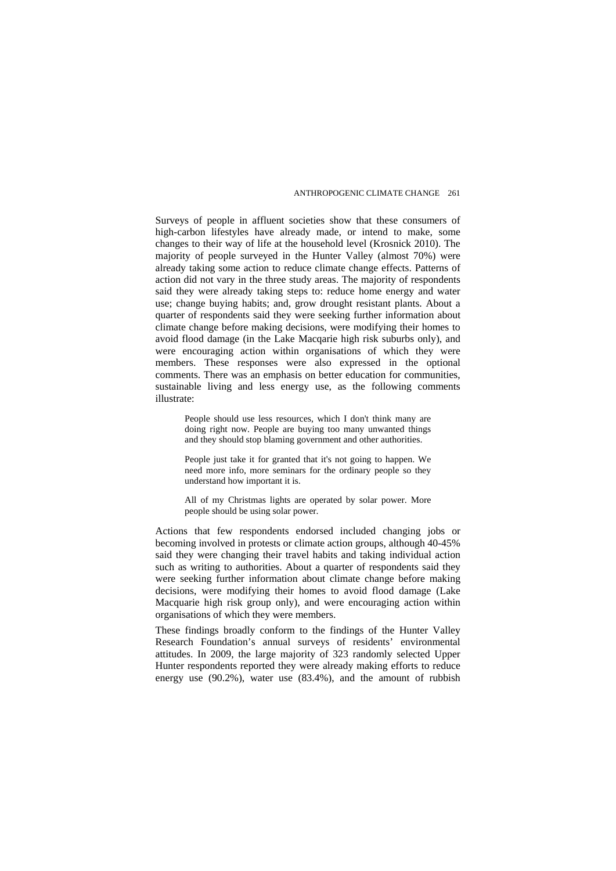Surveys of people in affluent societies show that these consumers of high-carbon lifestyles have already made, or intend to make, some changes to their way of life at the household level (Krosnick 2010). The majority of people surveyed in the Hunter Valley (almost 70%) were already taking some action to reduce climate change effects. Patterns of action did not vary in the three study areas. The majority of respondents said they were already taking steps to: reduce home energy and water use; change buying habits; and, grow drought resistant plants. About a quarter of respondents said they were seeking further information about climate change before making decisions, were modifying their homes to avoid flood damage (in the Lake Macqarie high risk suburbs only), and were encouraging action within organisations of which they were members. These responses were also expressed in the optional comments. There was an emphasis on better education for communities, sustainable living and less energy use, as the following comments illustrate:

People should use less resources, which I don't think many are doing right now. People are buying too many unwanted things and they should stop blaming government and other authorities.

People just take it for granted that it's not going to happen. We need more info, more seminars for the ordinary people so they understand how important it is.

All of my Christmas lights are operated by solar power. More people should be using solar power.

Actions that few respondents endorsed included changing jobs or becoming involved in protests or climate action groups, although 40-45% said they were changing their travel habits and taking individual action such as writing to authorities. About a quarter of respondents said they were seeking further information about climate change before making decisions, were modifying their homes to avoid flood damage (Lake Macquarie high risk group only), and were encouraging action within organisations of which they were members.

These findings broadly conform to the findings of the Hunter Valley Research Foundation's annual surveys of residents' environmental attitudes. In 2009, the large majority of 323 randomly selected Upper Hunter respondents reported they were already making efforts to reduce energy use (90.2%), water use (83.4%), and the amount of rubbish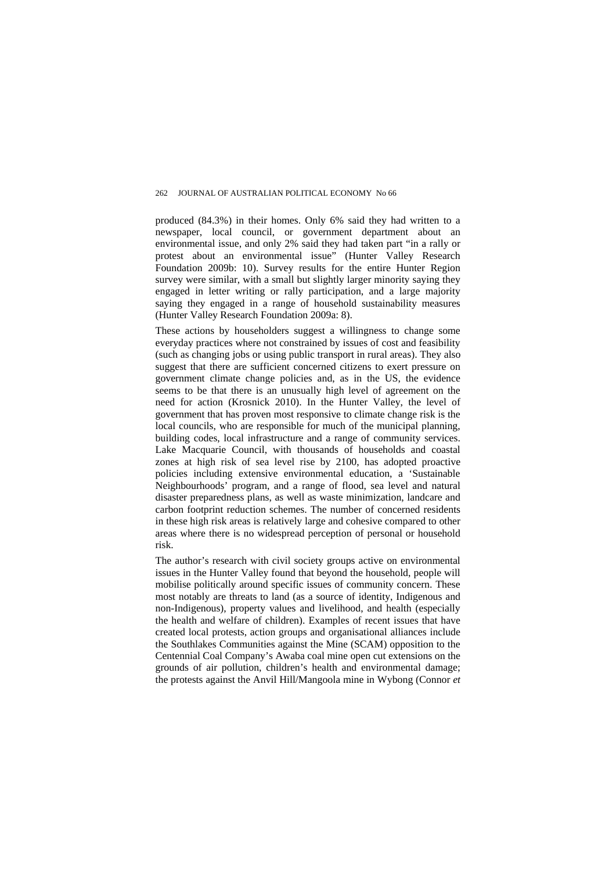produced (84.3%) in their homes. Only 6% said they had written to a newspaper, local council, or government department about an environmental issue, and only 2% said they had taken part "in a rally or protest about an environmental issue" (Hunter Valley Research Foundation 2009b: 10). Survey results for the entire Hunter Region survey were similar, with a small but slightly larger minority saying they engaged in letter writing or rally participation, and a large majority saying they engaged in a range of household sustainability measures (Hunter Valley Research Foundation 2009a: 8).

These actions by householders suggest a willingness to change some everyday practices where not constrained by issues of cost and feasibility (such as changing jobs or using public transport in rural areas). They also suggest that there are sufficient concerned citizens to exert pressure on government climate change policies and, as in the US, the evidence seems to be that there is an unusually high level of agreement on the need for action (Krosnick 2010). In the Hunter Valley, the level of government that has proven most responsive to climate change risk is the local councils, who are responsible for much of the municipal planning, building codes, local infrastructure and a range of community services. Lake Macquarie Council, with thousands of households and coastal zones at high risk of sea level rise by 2100, has adopted proactive policies including extensive environmental education, a 'Sustainable Neighbourhoods' program, and a range of flood, sea level and natural disaster preparedness plans, as well as waste minimization, landcare and carbon footprint reduction schemes. The number of concerned residents in these high risk areas is relatively large and cohesive compared to other areas where there is no widespread perception of personal or household risk.

The author's research with civil society groups active on environmental issues in the Hunter Valley found that beyond the household, people will mobilise politically around specific issues of community concern. These most notably are threats to land (as a source of identity, Indigenous and non-Indigenous), property values and livelihood, and health (especially the health and welfare of children). Examples of recent issues that have created local protests, action groups and organisational alliances include the Southlakes Communities against the Mine (SCAM) opposition to the Centennial Coal Company's Awaba coal mine open cut extensions on the grounds of air pollution, children's health and environmental damage; the protests against the Anvil Hill/Mangoola mine in Wybong (Connor *et*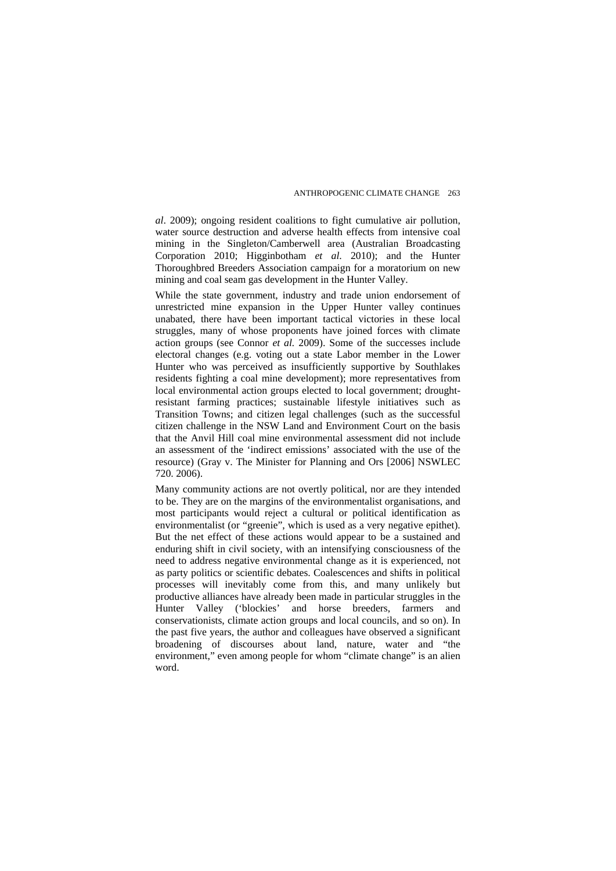*al*. 2009); ongoing resident coalitions to fight cumulative air pollution, water source destruction and adverse health effects from intensive coal mining in the Singleton/Camberwell area (Australian Broadcasting Corporation 2010; Higginbotham *et al*. 2010); and the Hunter Thoroughbred Breeders Association campaign for a moratorium on new mining and coal seam gas development in the Hunter Valley.

While the state government, industry and trade union endorsement of unrestricted mine expansion in the Upper Hunter valley continues unabated, there have been important tactical victories in these local struggles, many of whose proponents have joined forces with climate action groups (see Connor *et al.* 2009). Some of the successes include electoral changes (e.g. voting out a state Labor member in the Lower Hunter who was perceived as insufficiently supportive by Southlakes residents fighting a coal mine development); more representatives from local environmental action groups elected to local government; droughtresistant farming practices; sustainable lifestyle initiatives such as Transition Towns; and citizen legal challenges (such as the successful citizen challenge in the NSW Land and Environment Court on the basis that the Anvil Hill coal mine environmental assessment did not include an assessment of the 'indirect emissions' associated with the use of the resource) (Gray v. The Minister for Planning and Ors [2006] NSWLEC 720. 2006).

Many community actions are not overtly political, nor are they intended to be. They are on the margins of the environmentalist organisations, and most participants would reject a cultural or political identification as environmentalist (or "greenie", which is used as a very negative epithet). But the net effect of these actions would appear to be a sustained and enduring shift in civil society, with an intensifying consciousness of the need to address negative environmental change as it is experienced, not as party politics or scientific debates. Coalescences and shifts in political processes will inevitably come from this, and many unlikely but productive alliances have already been made in particular struggles in the Hunter Valley ('blockies' and horse breeders, farmers and conservationists, climate action groups and local councils, and so on). In the past five years, the author and colleagues have observed a significant broadening of discourses about land, nature, water and "the environment," even among people for whom "climate change" is an alien word.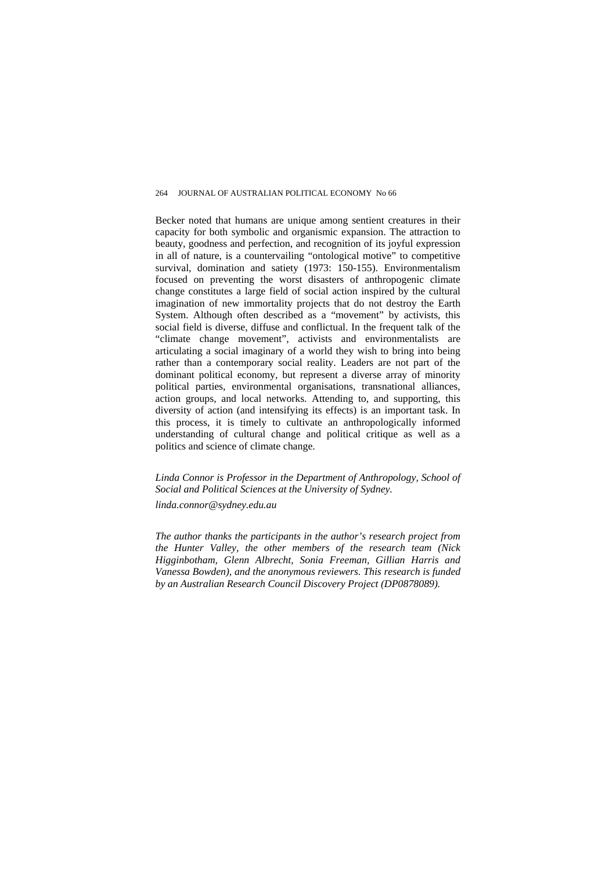Becker noted that humans are unique among sentient creatures in their capacity for both symbolic and organismic expansion. The attraction to beauty, goodness and perfection, and recognition of its joyful expression in all of nature, is a countervailing "ontological motive" to competitive survival, domination and satiety (1973: 150-155). Environmentalism focused on preventing the worst disasters of anthropogenic climate change constitutes a large field of social action inspired by the cultural imagination of new immortality projects that do not destroy the Earth System. Although often described as a "movement" by activists, this social field is diverse, diffuse and conflictual. In the frequent talk of the "climate change movement", activists and environmentalists are articulating a social imaginary of a world they wish to bring into being rather than a contemporary social reality. Leaders are not part of the dominant political economy, but represent a diverse array of minority political parties, environmental organisations, transnational alliances, action groups, and local networks. Attending to, and supporting, this diversity of action (and intensifying its effects) is an important task. In this process, it is timely to cultivate an anthropologically informed understanding of cultural change and political critique as well as a politics and science of climate change.

*Linda Connor is Professor in the Department of Anthropology, School of Social and Political Sciences at the University of Sydney.* 

*linda.connor@sydney.edu.au* 

*The author thanks the participants in the author's research project from the Hunter Valley, the other members of the research team (Nick Higginbotham, Glenn Albrecht, Sonia Freeman, Gillian Harris and Vanessa Bowden), and the anonymous reviewers. This research is funded by an Australian Research Council Discovery Project (DP0878089).*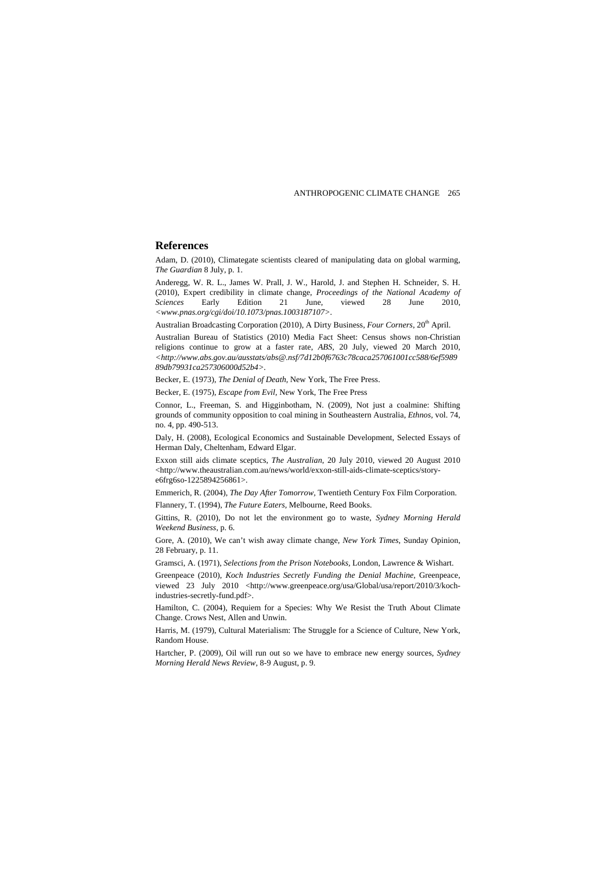#### **References**

Adam, D. (2010), Climategate scientists cleared of manipulating data on global warming, *The Guardian* 8 July, p. 1.

Anderegg, W. R. L., James W. Prall, J. W., Harold, J. and Stephen H. Schneider, S. H. (2010), Expert credibility in climate change, *Proceedings of the National Academy of Sciences* Early Edition 21 June, viewed 28 June 2010, *<www.pnas.org/cgi/doi/10.1073/pnas.1003187107>.* 

Australian Broadcasting Corporation (2010), A Dirty Business, *Four Corners*, 20<sup>th</sup> April.

Australian Bureau of Statistics (2010) Media Fact Sheet: Census shows non-Christian religions continue to grow at a faster rate, *ABS,* 20 July, viewed 20 March 2010, *<http://www.abs.gov.au/ausstats/abs@.nsf/7d12b0f6763c78caca257061001cc588/6ef5989 89db79931ca257306000d52b4>.* 

Becker, E. (1973), *The Denial of Death,* New York, The Free Press.

Becker, E. (1975), *Escape from Evil*, New York, The Free Press

Connor, L., Freeman, S. and Higginbotham, N. (2009), Not just a coalmine: Shifting grounds of community opposition to coal mining in Southeastern Australia, *Ethnos,* vol. 74, no. 4, pp. 490-513.

Daly, H. (2008), Ecological Economics and Sustainable Development, Selected Essays of Herman Daly, Cheltenham, Edward Elgar.

Exxon still aids climate sceptics, *The Australian*, 20 July 2010, viewed 20 August 2010 <http://www.theaustralian.com.au/news/world/exxon-still-aids-climate-sceptics/storye6frg6so-1225894256861>.

Emmerich, R. (2004), *The Day After Tomorrow,* Twentieth Century Fox Film Corporation.

Flannery, T. (1994), *The Future Eaters,* Melbourne, Reed Books.

Gittins, R. (2010), Do not let the environment go to waste, *Sydney Morning Herald Weekend Business*, p. 6.

Gore, A. (2010), We can't wish away climate change*, New York Times*, Sunday Opinion, 28 February, p. 11.

Gramsci, A. (1971), *Selections from the Prison Notebooks,* London, Lawrence & Wishart.

Greenpeace (2010), *Koch Industries Secretly Funding the Denial Machine*, Greenpeace, viewed 23 July 2010 <http://www.greenpeace.org/usa/Global/usa/report/2010/3/kochindustries-secretly-fund.pdf>.

Hamilton, C. (2004), Requiem for a Species: Why We Resist the Truth About Climate Change. Crows Nest, Allen and Unwin.

Harris, M. (1979), Cultural Materialism: The Struggle for a Science of Culture, New York, Random House.

Hartcher, P. (2009), Oil will run out so we have to embrace new energy sources, *Sydney Morning Herald News Review,* 8-9 August, p. 9.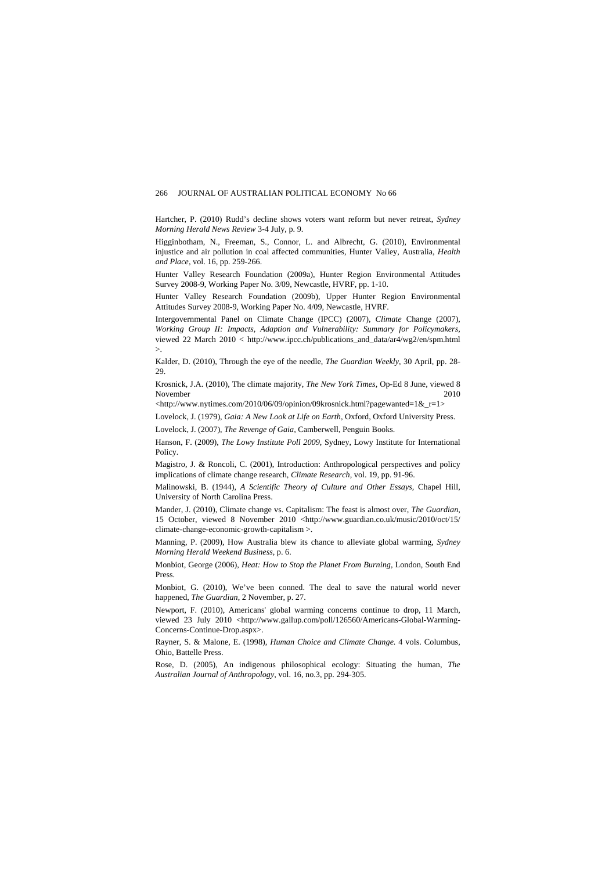Hartcher, P. (2010) Rudd's decline shows voters want reform but never retreat, *Sydney Morning Herald News Review* 3-4 July, p. 9.

Higginbotham, N., Freeman, S., Connor, L. and Albrecht, G. (2010), Environmental injustice and air pollution in coal affected communities, Hunter Valley, Australia, *Health and Place,* vol. 16, pp. 259-266.

Hunter Valley Research Foundation (2009a), Hunter Region Environmental Attitudes Survey 2008-9, Working Paper No. 3/09, Newcastle, HVRF, pp. 1-10.

Hunter Valley Research Foundation (2009b), Upper Hunter Region Environmental Attitudes Survey 2008-9, Working Paper No. 4/09, Newcastle, HVRF.

Intergovernmental Panel on Climate Change (IPCC) (2007), *Climate* Change (2007), *Working Group II: Impacts, Adaption and Vulnerability: Summary for Policymakers,*  viewed 22 March 2010 < http://www.ipcc.ch/publications\_and\_data/ar4/wg2/en/spm.html  $\mathcal{L}$ 

Kalder, D. (2010), Through the eye of the needle, *The Guardian Weekly*, 30 April, pp. 28- 29.

Krosnick, J.A. (2010), The climate majority, *The New York Times,* Op-Ed 8 June, viewed 8 November 2010

<http://www.nytimes.com/2010/06/09/opinion/09krosnick.html?pagewanted=1&\_r=1>

Lovelock, J. (1979), *Gaia: A New Look at Life on Earth,* Oxford, Oxford University Press.

Lovelock, J. (2007), *The Revenge of Gaia,* Camberwell, Penguin Books.

Hanson, F. (2009), *The Lowy Institute Poll 2009,* Sydney, Lowy Institute for International Policy.

Magistro, J. & Roncoli, C. (2001), Introduction: Anthropological perspectives and policy implications of climate change research, *Climate Research,* vol. 19, pp. 91-96.

Malinowski, B. (1944), *A Scientific Theory of Culture and Other Essays,* Chapel Hill, University of North Carolina Press.

Mander, J. (2010), Climate change vs. Capitalism: The feast is almost over, *The Guardian*, 15 October, viewed 8 November 2010 <http://www.guardian.co.uk/music/2010/oct/15/ climate-change-economic-growth-capitalism >.

Manning, P. (2009), How Australia blew its chance to alleviate global warming, *Sydney Morning Herald Weekend Business*, p. 6.

Monbiot, George (2006), *Heat: How to Stop the Planet From Burning,* London, South End Press.

Monbiot, G. (2010), We've been conned. The deal to save the natural world never happened, *The Guardian*, 2 November, p. 27.

Newport, F. (2010), Americans' global warming concerns continue to drop, 11 March, viewed 23 July 2010 <http://www.gallup.com/poll/126560/Americans-Global-Warming-Concerns-Continue-Drop.aspx>.

Rayner, S. & Malone, E. (1998), *Human Choice and Climate Change.* 4 vols. Columbus, Ohio, Battelle Press.

Rose, D. (2005), An indigenous philosophical ecology: Situating the human, *The Australian Journal of Anthropology*, vol. 16, no.3, pp. 294-305.